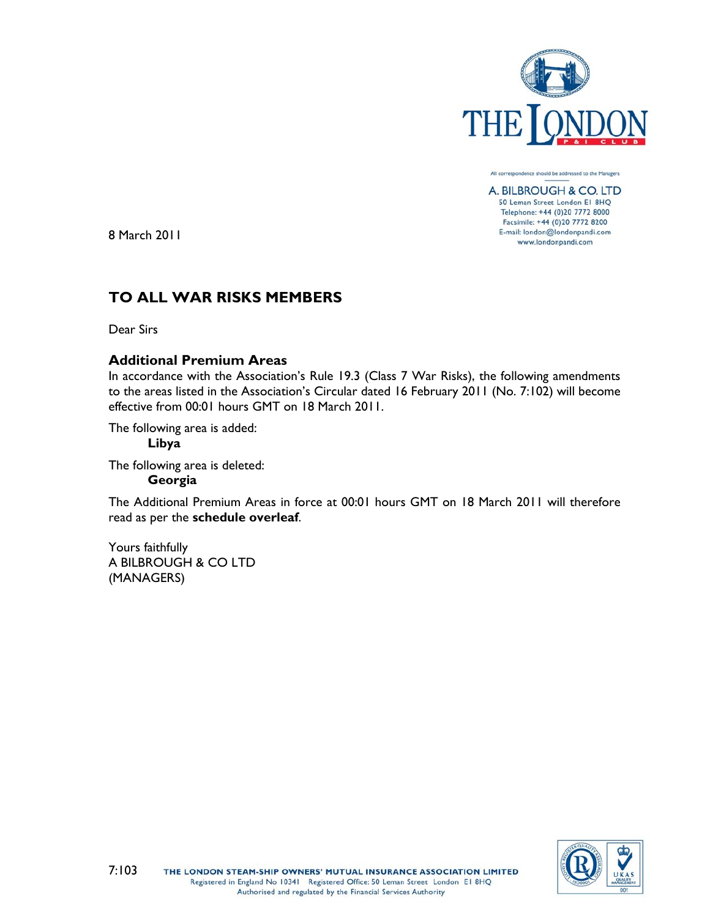

All correspondence should be addressed to the Managers A. BILBROUGH & CO. LTD 50 Leman Street London E1 8HQ Telephone: +44 (0)20 7772 8000 Facsimile: +44 (0)20 7772 8200 E-mail: london@londonpandi.com www.londonpandi.com

8 March 2011

# **TO ALL WAR RISKS MEMBERS**

Dear Sirs

## **Additional Premium Areas**

In accordance with the Association's Rule 19.3 (Class 7 War Risks), the following amendments to the areas listed in the Association's Circular dated 16 February 2011 (No. 7:102) will become effective from 00:01 hours GMT on 18 March 2011.

The following area is added:

## **Libya**

The following area is deleted:

## **Georgia**

The Additional Premium Areas in force at 00:01 hours GMT on 18 March 2011 will therefore read as per the **schedule overleaf**.

Yours faithfully A BILBROUGH & CO LTD (MANAGERS)